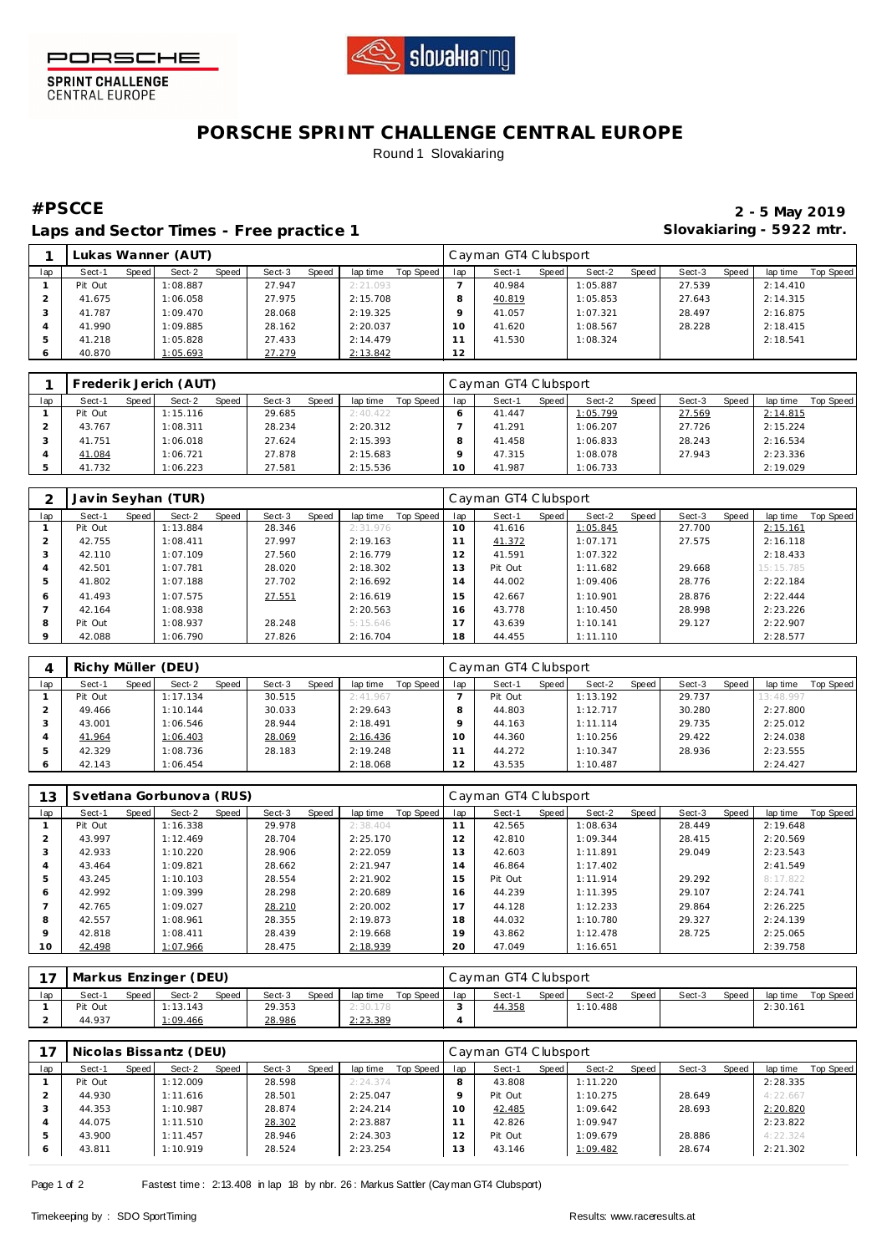



**SPRINT CHALLENGE**<br>CENTRAL EUROPE

## **PORSCHE SPRINT CHALLENGE CENTRAL EUROPE** Round 1 Slovakiaring

Laps and Sector Times - Free practice 1 **Slovakiaring - 5922 mtr.** 

**#PSCCE 2 - 5 May 2019**

|     |         |       | Lukas Wanner (AUT) |       |        |       |          |           |          | Cayman GT4 Clubsport |       |          |       |        |       |          |           |
|-----|---------|-------|--------------------|-------|--------|-------|----------|-----------|----------|----------------------|-------|----------|-------|--------|-------|----------|-----------|
| lap | Sect-1  | Speed | Sect-2             | Speed | Sect-3 | Speed | lap time | Top Speed | lap      | Sect-1               | Speed | Sect-2   | Speed | Sect-3 | Speed | lap time | Top Speed |
|     | Pit Out |       | :08.887            |       | 27.947 |       | 2:21.093 |           |          | 40.984               |       | 1:05.887 |       | 27.539 |       | 2:14.410 |           |
|     | 41.675  |       | :06.058            |       | 27.975 |       | 2:15.708 |           |          | 40.819               |       | 1:05.853 |       | 27.643 |       | 2:14.315 |           |
|     | 41.787  |       | 1:09.470           |       | 28.068 |       | 2:19.325 |           |          | 41.057               |       | 1:07.321 |       | 28.497 |       | 2:16.875 |           |
|     | 41.990  |       | :09.885            |       | 28.162 |       | 2:20.037 |           | $10^{-}$ | 41.620               |       | 1:08.567 |       | 28.228 |       | 2:18.415 |           |
|     | 41.218  |       | :05.828            |       | 27.433 |       | 2:14.479 |           |          | 41.530               |       | 1:08.324 |       |        |       | 2:18.541 |           |
| 6   | 40.870  |       | 1:05.693           |       | 27.279 |       | 2:13.842 |           | 12       |                      |       |          |       |        |       |          |           |

|     |         |       | Frederik Jerich (AUT) |       |        |       |          |           |     | Cayman GT4 Clubsport |       |          |       |        |       |          |           |
|-----|---------|-------|-----------------------|-------|--------|-------|----------|-----------|-----|----------------------|-------|----------|-------|--------|-------|----------|-----------|
| lap | Sect-1  | Speed | Sect-2                | Speed | Sect-3 | Speed | lap time | Top Speed | lap | Sect-1               | Speed | Sect-2   | Speed | Sect-3 | Speed | lap time | Top Speed |
|     | Pit Out |       | 1:15.116              |       | 29.685 |       | 2:40.422 |           |     | 41.447               |       | 1:05.799 |       | 27.569 |       | 2:14.815 |           |
|     | 43.767  |       | :08.311               |       | 28.234 |       | 2:20.312 |           |     | 41.291               |       | 1:06.207 |       | 27.726 |       | 2:15.224 |           |
|     | 41.751  |       | :06.018               |       | 27.624 |       | 2:15.393 |           |     | 41.458               |       | 1:06.833 |       | 28.243 |       | 2:16.534 |           |
|     | 41.084  |       | :06.721               |       | 27.878 |       | 2:15.683 |           |     | 47.315               |       | 1:08.078 |       | 27.943 |       | 2:23.336 |           |
|     | 41.732  |       | :06.223               |       | 27.581 |       | 2:15.536 |           | 10  | 41.987               |       | 1:06.733 |       |        |       | 2:19.029 |           |

|     |         |       | Javin Seyhan (TUR) |       |        |       |          |                  |     | Cayman GT4 Clubsport |       |          |       |        |       |           |                  |
|-----|---------|-------|--------------------|-------|--------|-------|----------|------------------|-----|----------------------|-------|----------|-------|--------|-------|-----------|------------------|
| lap | Sect-1  | Speed | Sect-2             | Speed | Sect-3 | Speed | lap time | <b>Top Speed</b> | lap | Sect-1               | Speed | Sect-2   | Speed | Sect-3 | Speed | lap time  | <b>Top Speed</b> |
|     | Pit Out |       | 1:13.884           |       | 28.346 |       | 2:31.976 |                  | 10  | 41.616               |       | 1:05.845 |       | 27.700 |       | 2:15.161  |                  |
|     | 42.755  |       | 1:08.411           |       | 27.997 |       | 2:19.163 |                  |     | 41.372               |       | 1:07.171 |       | 27.575 |       | 2:16.118  |                  |
|     | 42.110  |       | 1:07.109           |       | 27.560 |       | 2:16.779 |                  | 12  | 41.591               |       | 1:07.322 |       |        |       | 2:18.433  |                  |
|     | 42.501  |       | 1:07.781           |       | 28.020 |       | 2:18.302 |                  | 13  | Pit Out              |       | 1:11.682 |       | 29.668 |       | 15:15.785 |                  |
|     | 41.802  |       | 1:07.188           |       | 27.702 |       | 2:16.692 |                  | 14  | 44.002               |       | 1:09.406 |       | 28.776 |       | 2:22.184  |                  |
| 6   | 41.493  |       | 1:07.575           |       | 27.551 |       | 2:16.619 |                  | 15  | 42.667               |       | 1:10.901 |       | 28.876 |       | 2:22.444  |                  |
|     | 42.164  |       | 1:08.938           |       |        |       | 2:20.563 |                  | 16  | 43.778               |       | 1:10.450 |       | 28.998 |       | 2:23.226  |                  |
| 8   | Pit Out |       | 1:08.937           |       | 28.248 |       | 5:15.646 |                  | 17  | 43.639               |       | 1:10.141 |       | 29.127 |       | 2:22.907  |                  |
|     | 42.088  |       | 1:06.790           |       | 27.826 |       | 2:16.704 |                  | 18  | 44.455               |       | 1:11.110 |       |        |       | 2:28.577  |                  |

|         | Richy Müller (DEU) |       |          |       |        |       |          |           |     | Cayman GT4 Clubsport |       |          |       |        |       |           |           |
|---------|--------------------|-------|----------|-------|--------|-------|----------|-----------|-----|----------------------|-------|----------|-------|--------|-------|-----------|-----------|
| lap     | Sect-1             | Speed | Sect-2   | Speed | Sect-3 | Speed | lap time | Top Speed | lap | Sect-1               | Speed | Sect-2   | Speed | Sect-3 | Speed | lap time  | Top Speed |
|         | Pit Out            |       | 1:17.134 |       | 30.515 |       | 2:41.967 |           |     | Pit Out              |       | 1:13.192 |       | 29.737 |       | 13:48.997 |           |
|         | 49.466             |       | 1:10.144 |       | 30.033 |       | 2:29.643 |           |     | 44.803               |       | 1:12.717 |       | 30.280 |       | 2:27.800  |           |
|         | 43.001             |       | l:06.546 |       | 28.944 |       | 2:18.491 |           |     | 44.163               |       | 1:11.114 |       | 29.735 |       | 2:25.012  |           |
|         | 41.964             |       | 1:06.403 |       | 28.069 |       | 2:16.436 |           | 10  | 44.360               |       | 1:10.256 |       | 29.422 |       | 2:24.038  |           |
|         | 42.329             |       | 1:08.736 |       | 28.183 |       | 2:19.248 |           |     | 44.272               |       | 1:10.347 |       | 28.936 |       | 2:23.555  |           |
| $\circ$ | 42.143             |       | 1:06.454 |       |        |       | 2:18.068 |           |     | 43.535               |       | 1:10.487 |       |        |       | 2:24.427  |           |

| 13      |         |       | Svetlana Gorbunova (RUS) |       |        |       |          |           |     | Cayman GT4 Clubsport |       |          |       |        |       |          |           |
|---------|---------|-------|--------------------------|-------|--------|-------|----------|-----------|-----|----------------------|-------|----------|-------|--------|-------|----------|-----------|
| lap     | Sect-1  | Speed | Sect-2                   | Speed | Sect-3 | Speed | lap time | Top Speed | lap | Sect-1               | Speed | Sect-2   | Speed | Sect-3 | Speed | lap time | Top Speed |
|         | Pit Out |       | 1:16.338                 |       | 29.978 |       | 2:38.404 |           | 11  | 42.565               |       | 1:08.634 |       | 28.449 |       | 2:19.648 |           |
|         | 43.997  |       | 1:12.469                 |       | 28.704 |       | 2:25.170 |           | 12  | 42.810               |       | 1:09.344 |       | 28.415 |       | 2:20.569 |           |
|         | 42.933  |       | 1:10.220                 |       | 28.906 |       | 2:22.059 |           | 13  | 42.603               |       | 1:11.891 |       | 29.049 |       | 2:23.543 |           |
|         | 43.464  |       | 1:09.821                 |       | 28.662 |       | 2:21.947 |           | 14  | 46.864               |       | 1:17.402 |       |        |       | 2:41.549 |           |
| 5       | 43.245  |       | 1:10.103                 |       | 28.554 |       | 2:21.902 |           | 15  | Pit Out              |       | 1:11.914 |       | 29.292 |       | 8:17.822 |           |
| 6       | 42.992  |       | 1:09.399                 |       | 28.298 |       | 2:20.689 |           | 16  | 44.239               |       | 1:11.395 |       | 29.107 |       | 2:24.741 |           |
|         | 42.765  |       | 1:09.027                 |       | 28.210 |       | 2:20.002 |           |     | 44.128               |       | 1:12.233 |       | 29.864 |       | 2:26.225 |           |
| 8       | 42.557  |       | 1:08.961                 |       | 28.355 |       | 2:19.873 |           | 18  | 44.032               |       | 1:10.780 |       | 29.327 |       | 2:24.139 |           |
| $\circ$ | 42.818  |       | 1:08.411                 |       | 28.439 |       | 2:19.668 |           | 19  | 43.862               |       | 1:12.478 |       | 28.725 |       | 2:25.065 |           |
| 10      | 42.498  |       | 1:07.966                 |       | 28.475 |       | 2:18.939 |           | 20  | 47.049               |       | 1:16.651 |       |        |       | 2:39.758 |           |

|     | Markus Enzinger (DEU) |       |          |       |        |       |          |           |     | Cayman GT4 Clubsport |       |          |       |        |       |          |           |
|-----|-----------------------|-------|----------|-------|--------|-------|----------|-----------|-----|----------------------|-------|----------|-------|--------|-------|----------|-----------|
| lac | Sect-1                | Speed | Sect-2   | Speed | Sect-3 | Speed | lap time | Top Speed | lap | Sect-1               | Speed | Sect-2   | Speed | Sect-3 | Speed | lap time | Top Speed |
|     | Pit Out               |       | 1:13.143 |       | 29.353 |       | 2:30.178 |           |     | 44.358               |       | 1:10.488 |       |        |       | 2:30.161 |           |
|     | 44.937                |       | 1:09.466 |       | 28.986 |       | 2:23.389 |           |     |                      |       |          |       |        |       |          |           |

|     |         |         | Nicolas Bissantz (DEU) |       |        |       |          |           |     | Cayman GT4 Clubsport |       |          |         |        |       |          |           |
|-----|---------|---------|------------------------|-------|--------|-------|----------|-----------|-----|----------------------|-------|----------|---------|--------|-------|----------|-----------|
| lap | Sect-1  | Speed I | Sect-2                 | Speed | Sect-3 | Speed | lap time | Top Speed | lap | Sect-1               | Speed | Sect-2   | Speed I | Sect-3 | Speed | lap time | Top Speed |
|     | Pit Out |         | 1:12.009               |       | 28.598 |       | 2:24.374 |           | 8   | 43.808               |       | 1:11.220 |         |        |       | 2:28.335 |           |
|     | 44.930  |         | 1:11.616               |       | 28.501 |       | 2:25.047 |           |     | Pit Out              |       | 1:10.275 |         | 28.649 |       | 4:22.667 |           |
|     | 44.353  |         | 1:10.987               |       | 28.874 |       | 2:24.214 |           | 10  | 42.485               |       | 1:09.642 |         | 28.693 |       | 2:20.820 |           |
|     | 44.075  |         | 1:11.510               |       | 28.302 |       | 2:23.887 |           |     | 42.826               |       | 1:09.947 |         |        |       | 2:23.822 |           |
| .5  | 43.900  |         | 1:11.457               |       | 28.946 |       | 2:24.303 |           | . 2 | Pit Out              |       | 1:09.679 |         | 28.886 |       | 4:22.324 |           |
|     | 43.811  |         | 1:10.919               |       | 28.524 |       | 2:23.254 |           | 13  | 43.146               |       | 1:09.482 |         | 28.674 |       | 2:21.302 |           |

Page 1 of 2 Fastest time: 2:13.408 in lap 18 by nbr. 26: Markus Sattler (Cay man GT4 Clubsport)